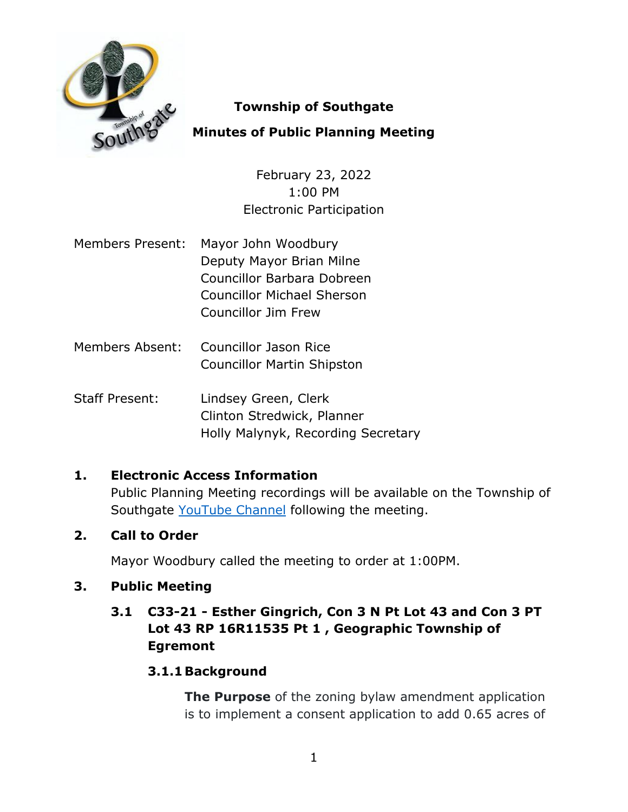

## **Township of Southgate**

# **Minutes of Public Planning Meeting**

February 23, 2022 1:00 PM Electronic Participation

- Members Present: Mayor John Woodbury Deputy Mayor Brian Milne Councillor Barbara Dobreen Councillor Michael Sherson Councillor Jim Frew
- Members Absent: Councillor Jason Rice Councillor Martin Shipston
- Staff Present: Lindsey Green, Clerk Clinton Stredwick, Planner Holly Malynyk, Recording Secretary

# **1. Electronic Access Information**

Public Planning Meeting recordings will be available on the Township of Southgate [YouTube Channel](https://www.youtube.com/user/SouthgateTownship) following the meeting.

## **2. Call to Order**

Mayor Woodbury called the meeting to order at 1:00PM.

## **3. Public Meeting**

## **3.1 C33-21 - Esther Gingrich, Con 3 N Pt Lot 43 and Con 3 PT Lot 43 RP 16R11535 Pt 1 , Geographic Township of Egremont**

## **3.1.1Background**

**The Purpose** of the zoning bylaw amendment application is to implement a consent application to add 0.65 acres of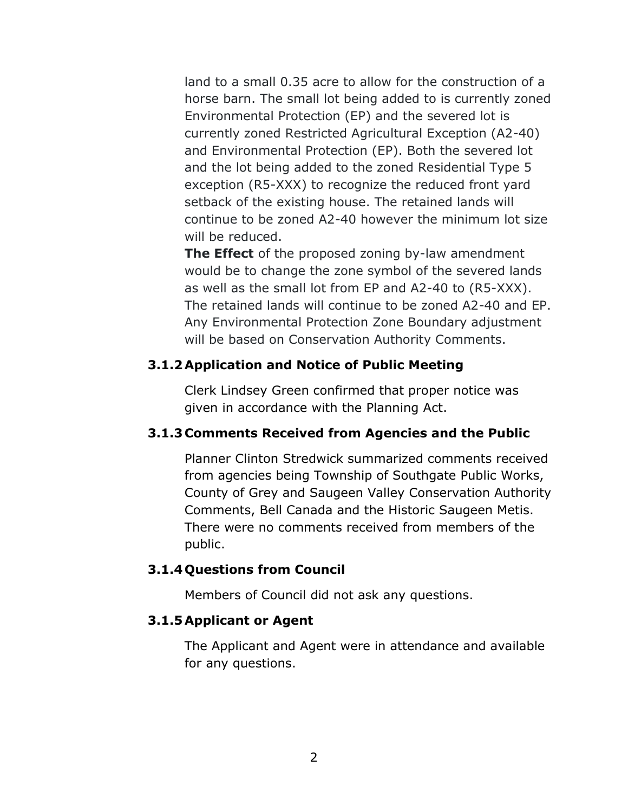land to a small 0.35 acre to allow for the construction of a horse barn. The small lot being added to is currently zoned Environmental Protection (EP) and the severed lot is currently zoned Restricted Agricultural Exception (A2-40) and Environmental Protection (EP). Both the severed lot and the lot being added to the zoned Residential Type 5 exception (R5-XXX) to recognize the reduced front yard setback of the existing house. The retained lands will continue to be zoned A2-40 however the minimum lot size will be reduced.

**The Effect** of the proposed zoning by-law amendment would be to change the zone symbol of the severed lands as well as the small lot from EP and A2-40 to (R5-XXX). The retained lands will continue to be zoned A2-40 and EP. Any Environmental Protection Zone Boundary adjustment will be based on Conservation Authority Comments.

#### **3.1.2Application and Notice of Public Meeting**

Clerk Lindsey Green confirmed that proper notice was given in accordance with the Planning Act.

### **3.1.3 Comments Received from Agencies and the Public**

Planner Clinton Stredwick summarized comments received from agencies being Township of Southgate Public Works, County of Grey and Saugeen Valley Conservation Authority Comments, Bell Canada and the Historic Saugeen Metis. There were no comments received from members of the public.

### **3.1.4 Questions from Council**

Members of Council did not ask any questions.

### **3.1.5Applicant or Agent**

The Applicant and Agent were in attendance and available for any questions.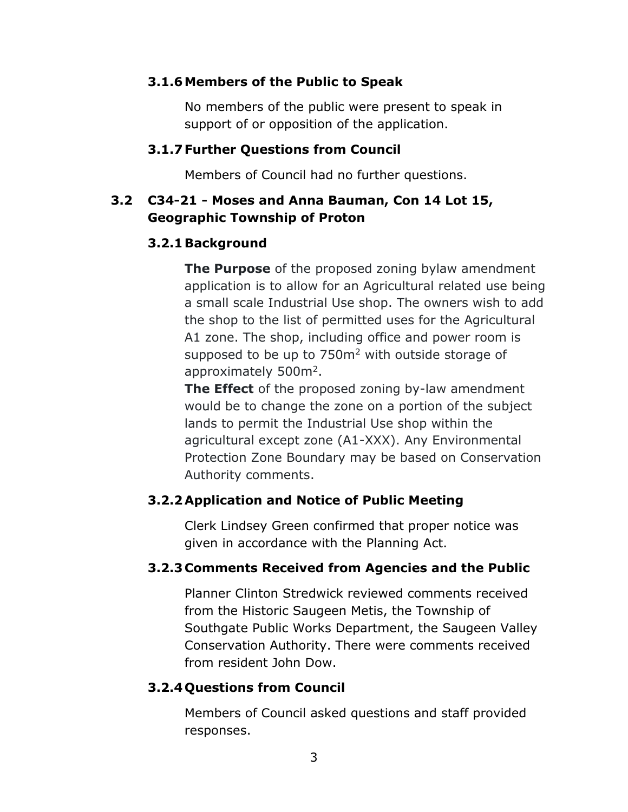#### **3.1.6Members of the Public to Speak**

No members of the public were present to speak in support of or opposition of the application.

#### **3.1.7 Further Questions from Council**

Members of Council had no further questions.

## **3.2 C34-21 - Moses and Anna Bauman, Con 14 Lot 15, Geographic Township of Proton**

### **3.2.1Background**

**The Purpose** of the proposed zoning bylaw amendment application is to allow for an Agricultural related use being a small scale Industrial Use shop. The owners wish to add the shop to the list of permitted uses for the Agricultural A1 zone. The shop, including office and power room is supposed to be up to  $750<sup>m²</sup>$  with outside storage of approximately 500m<sup>2</sup>.

**The Effect** of the proposed zoning by-law amendment would be to change the zone on a portion of the subject lands to permit the Industrial Use shop within the agricultural except zone (A1-XXX). Any Environmental Protection Zone Boundary may be based on Conservation Authority comments.

## **3.2.2Application and Notice of Public Meeting**

Clerk Lindsey Green confirmed that proper notice was given in accordance with the Planning Act.

## **3.2.3 Comments Received from Agencies and the Public**

Planner Clinton Stredwick reviewed comments received from the Historic Saugeen Metis, the Township of Southgate Public Works Department, the Saugeen Valley Conservation Authority. There were comments received from resident John Dow.

### **3.2.4 Questions from Council**

Members of Council asked questions and staff provided responses.